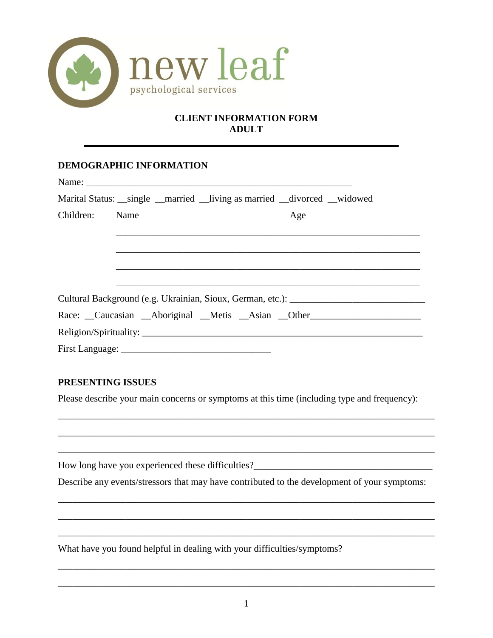

## **CLIENT INFORMATION FORM ADULT**

## **DEMOGRAPHIC INFORMATION**

|                | Marital Status: __single __married __living as married __divorced __widowed |     |
|----------------|-----------------------------------------------------------------------------|-----|
| Children: Name |                                                                             | Age |
|                | <u> 1989 - Johann Stoff, amerikansk politiker (d. 1989)</u>                 |     |
|                |                                                                             |     |
|                |                                                                             |     |
|                |                                                                             |     |
|                |                                                                             |     |
|                | Race: Caucasian Aboriginal Metis Asian Other                                |     |
|                |                                                                             |     |
|                |                                                                             |     |

### **PRESENTING ISSUES**

Please describe your main concerns or symptoms at this time (including type and frequency):

\_\_\_\_\_\_\_\_\_\_\_\_\_\_\_\_\_\_\_\_\_\_\_\_\_\_\_\_\_\_\_\_\_\_\_\_\_\_\_\_\_\_\_\_\_\_\_\_\_\_\_\_\_\_\_\_\_\_\_\_\_\_\_\_\_\_\_\_\_\_\_\_\_\_\_\_\_\_

\_\_\_\_\_\_\_\_\_\_\_\_\_\_\_\_\_\_\_\_\_\_\_\_\_\_\_\_\_\_\_\_\_\_\_\_\_\_\_\_\_\_\_\_\_\_\_\_\_\_\_\_\_\_\_\_\_\_\_\_\_\_\_\_\_\_\_\_\_\_\_\_\_\_\_\_\_\_

How long have you experienced these difficulties?\_\_\_\_\_\_\_\_\_\_\_\_\_\_\_\_\_\_\_\_\_\_\_\_\_\_\_\_\_\_\_

Describe any events/stressors that may have contributed to the development of your symptoms:

\_\_\_\_\_\_\_\_\_\_\_\_\_\_\_\_\_\_\_\_\_\_\_\_\_\_\_\_\_\_\_\_\_\_\_\_\_\_\_\_\_\_\_\_\_\_\_\_\_\_\_\_\_\_\_\_\_\_\_\_\_\_\_\_\_\_\_\_\_\_\_\_\_\_\_\_\_\_

\_\_\_\_\_\_\_\_\_\_\_\_\_\_\_\_\_\_\_\_\_\_\_\_\_\_\_\_\_\_\_\_\_\_\_\_\_\_\_\_\_\_\_\_\_\_\_\_\_\_\_\_\_\_\_\_\_\_\_\_\_\_\_\_\_\_\_\_\_\_\_\_\_\_\_\_\_\_

\_\_\_\_\_\_\_\_\_\_\_\_\_\_\_\_\_\_\_\_\_\_\_\_\_\_\_\_\_\_\_\_\_\_\_\_\_\_\_\_\_\_\_\_\_\_\_\_\_\_\_\_\_\_\_\_\_\_\_\_\_\_\_\_\_\_\_\_\_\_\_\_\_\_\_\_\_\_

\_\_\_\_\_\_\_\_\_\_\_\_\_\_\_\_\_\_\_\_\_\_\_\_\_\_\_\_\_\_\_\_\_\_\_\_\_\_\_\_\_\_\_\_\_\_\_\_\_\_\_\_\_\_\_\_\_\_\_\_\_\_\_\_\_\_\_\_\_\_\_\_\_\_\_\_\_\_

\_\_\_\_\_\_\_\_\_\_\_\_\_\_\_\_\_\_\_\_\_\_\_\_\_\_\_\_\_\_\_\_\_\_\_\_\_\_\_\_\_\_\_\_\_\_\_\_\_\_\_\_\_\_\_\_\_\_\_\_\_\_\_\_\_\_\_\_\_\_\_\_\_\_\_\_\_\_

What have you found helpful in dealing with your difficulties/symptoms?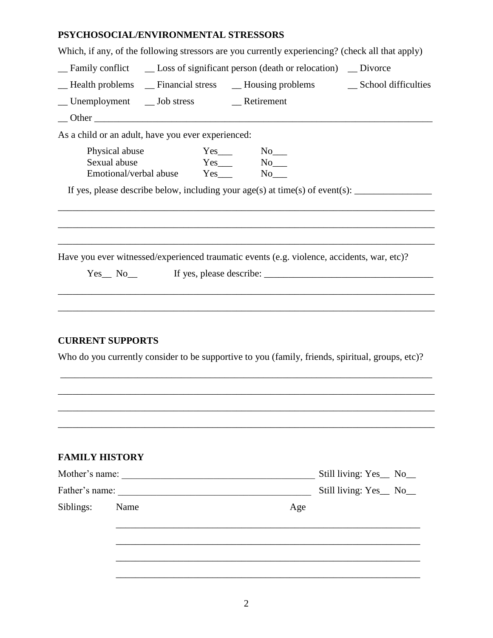# **PSYCHOSOCIAL/ENVIRONMENTAL STRESSORS**

| Which, if any, of the following stressors are you currently experiencing? (check all that apply)                                                                                                                                                                                                                                                                                                                           |                        |  |  |  |
|----------------------------------------------------------------------------------------------------------------------------------------------------------------------------------------------------------------------------------------------------------------------------------------------------------------------------------------------------------------------------------------------------------------------------|------------------------|--|--|--|
| _Family conflict __ Loss of significant person (death or relocation) __ Divorce                                                                                                                                                                                                                                                                                                                                            |                        |  |  |  |
| _Health problems _ Financial stress _ Housing problems _ School difficulties                                                                                                                                                                                                                                                                                                                                               |                        |  |  |  |
|                                                                                                                                                                                                                                                                                                                                                                                                                            |                        |  |  |  |
|                                                                                                                                                                                                                                                                                                                                                                                                                            |                        |  |  |  |
| As a child or an adult, have you ever experienced:                                                                                                                                                                                                                                                                                                                                                                         |                        |  |  |  |
| Physical abuse<br>$Yes$ <sub>____</sub><br>$No$ <sub>___</sub><br>$Yes$ $No$ $No$<br>Sexual abuse<br>Emotional/verbal abuse Yes_____ No___                                                                                                                                                                                                                                                                                 |                        |  |  |  |
|                                                                                                                                                                                                                                                                                                                                                                                                                            |                        |  |  |  |
|                                                                                                                                                                                                                                                                                                                                                                                                                            |                        |  |  |  |
| Have you ever witnessed/experienced traumatic events (e.g. violence, accidents, war, etc)?<br>If yes, please describe: $\frac{1}{2}$ $\frac{1}{2}$ $\frac{1}{2}$ $\frac{1}{2}$ $\frac{1}{2}$ $\frac{1}{2}$ $\frac{1}{2}$ $\frac{1}{2}$ $\frac{1}{2}$ $\frac{1}{2}$ $\frac{1}{2}$ $\frac{1}{2}$ $\frac{1}{2}$ $\frac{1}{2}$ $\frac{1}{2}$ $\frac{1}{2}$ $\frac{1}{2}$ $\frac{1}{2}$ $\frac{1}{2}$ $\frac{1}{$<br>$Yes_ No_$ |                        |  |  |  |
| <b>CURRENT SUPPORTS</b>                                                                                                                                                                                                                                                                                                                                                                                                    |                        |  |  |  |
| Who do you currently consider to be supportive to you (family, friends, spiritual, groups, etc)?                                                                                                                                                                                                                                                                                                                           |                        |  |  |  |
|                                                                                                                                                                                                                                                                                                                                                                                                                            |                        |  |  |  |
|                                                                                                                                                                                                                                                                                                                                                                                                                            |                        |  |  |  |
|                                                                                                                                                                                                                                                                                                                                                                                                                            |                        |  |  |  |
| <b>FAMILY HISTORY</b>                                                                                                                                                                                                                                                                                                                                                                                                      |                        |  |  |  |
| Mother's name:                                                                                                                                                                                                                                                                                                                                                                                                             | Still living: Yes_ No_ |  |  |  |
|                                                                                                                                                                                                                                                                                                                                                                                                                            | Still living: Yes_ No_ |  |  |  |
| Siblings:<br>Name<br>Age                                                                                                                                                                                                                                                                                                                                                                                                   |                        |  |  |  |

\_\_\_\_\_\_\_\_\_\_\_\_\_\_\_\_\_\_\_\_\_\_\_\_\_\_\_\_\_\_\_\_\_\_\_\_\_\_\_\_\_\_\_\_\_\_\_\_\_\_\_\_\_\_\_\_\_\_\_\_\_\_\_

\_\_\_\_\_\_\_\_\_\_\_\_\_\_\_\_\_\_\_\_\_\_\_\_\_\_\_\_\_\_\_\_\_\_\_\_\_\_\_\_\_\_\_\_\_\_\_\_\_\_\_\_\_\_\_\_\_\_\_\_\_\_\_

\_\_\_\_\_\_\_\_\_\_\_\_\_\_\_\_\_\_\_\_\_\_\_\_\_\_\_\_\_\_\_\_\_\_\_\_\_\_\_\_\_\_\_\_\_\_\_\_\_\_\_\_\_\_\_\_\_\_\_\_\_\_\_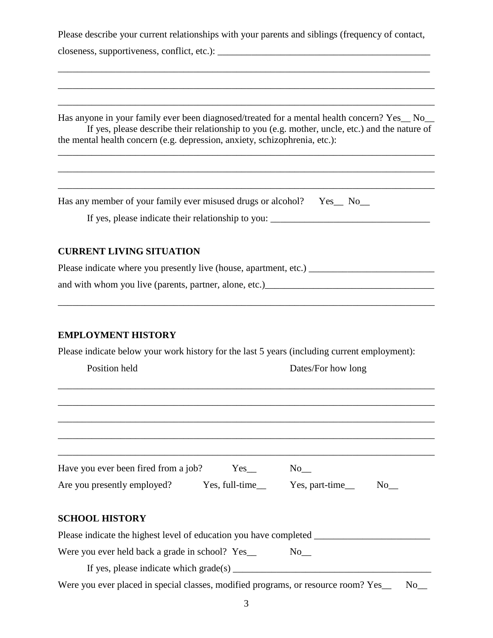Please describe your current relationships with your parents and siblings (frequency of contact, closeness, supportiveness, conflict, etc.): \_\_\_\_\_\_\_\_\_\_\_\_\_\_\_\_\_\_\_\_\_\_\_\_\_\_\_\_\_\_\_\_\_\_\_\_\_\_\_\_\_\_\_\_

\_\_\_\_\_\_\_\_\_\_\_\_\_\_\_\_\_\_\_\_\_\_\_\_\_\_\_\_\_\_\_\_\_\_\_\_\_\_\_\_\_\_\_\_\_\_\_\_\_\_\_\_\_\_\_\_\_\_\_\_\_\_\_\_\_\_\_\_\_\_\_\_\_\_\_\_\_

\_\_\_\_\_\_\_\_\_\_\_\_\_\_\_\_\_\_\_\_\_\_\_\_\_\_\_\_\_\_\_\_\_\_\_\_\_\_\_\_\_\_\_\_\_\_\_\_\_\_\_\_\_\_\_\_\_\_\_\_\_\_\_\_\_\_\_\_\_\_\_\_\_\_\_\_\_\_

\_\_\_\_\_\_\_\_\_\_\_\_\_\_\_\_\_\_\_\_\_\_\_\_\_\_\_\_\_\_\_\_\_\_\_\_\_\_\_\_\_\_\_\_\_\_\_\_\_\_\_\_\_\_\_\_\_\_\_\_\_\_\_\_\_\_\_\_\_\_\_\_\_\_\_\_\_\_

Has anyone in your family ever been diagnosed/treated for a mental health concern? Yes No If yes, please describe their relationship to you (e.g. mother, uncle, etc.) and the nature of the mental health concern (e.g. depression, anxiety, schizophrenia, etc.):

\_\_\_\_\_\_\_\_\_\_\_\_\_\_\_\_\_\_\_\_\_\_\_\_\_\_\_\_\_\_\_\_\_\_\_\_\_\_\_\_\_\_\_\_\_\_\_\_\_\_\_\_\_\_\_\_\_\_\_\_\_\_\_\_\_\_\_\_\_\_\_\_\_\_\_\_\_\_

 $\mathcal{L}_\mathcal{L} = \{ \mathcal{L}_\mathcal{L} = \{ \mathcal{L}_\mathcal{L} = \{ \mathcal{L}_\mathcal{L} = \{ \mathcal{L}_\mathcal{L} = \{ \mathcal{L}_\mathcal{L} = \{ \mathcal{L}_\mathcal{L} = \{ \mathcal{L}_\mathcal{L} = \{ \mathcal{L}_\mathcal{L} = \{ \mathcal{L}_\mathcal{L} = \{ \mathcal{L}_\mathcal{L} = \{ \mathcal{L}_\mathcal{L} = \{ \mathcal{L}_\mathcal{L} = \{ \mathcal{L}_\mathcal{L} = \{ \mathcal{L}_\mathcal{$ 

Has any member of your family ever misused drugs or alcohol? Yes\_ No\_

If yes, please indicate their relationship to you:

\_\_\_\_\_\_\_\_\_\_\_\_\_\_\_\_\_\_\_\_\_\_\_\_\_\_\_\_\_\_\_\_\_\_\_\_\_\_\_\_\_\_\_\_\_\_\_\_\_\_\_\_\_\_\_\_\_\_\_\_\_\_\_\_\_\_\_\_\_\_\_\_\_\_\_\_\_\_

#### **CURRENT LIVING SITUATION**

| Please indicate where you presently live (house, apartment, etc.) |  |
|-------------------------------------------------------------------|--|
| and with whom you live (parents, partner, alone, etc.)            |  |

\_\_\_\_\_\_\_\_\_\_\_\_\_\_\_\_\_\_\_\_\_\_\_\_\_\_\_\_\_\_\_\_\_\_\_\_\_\_\_\_\_\_\_\_\_\_\_\_\_\_\_\_\_\_\_\_\_\_\_\_\_\_\_\_\_\_\_\_\_\_\_\_\_\_\_\_\_\_

### **EMPLOYMENT HISTORY**

Please indicate below your work history for the last 5 years (including current employment):

| Position held                                                                     |                      | Dates/For how long |  |
|-----------------------------------------------------------------------------------|----------------------|--------------------|--|
|                                                                                   |                      |                    |  |
|                                                                                   |                      |                    |  |
|                                                                                   |                      |                    |  |
| Have you ever been fired from a job?                                              | $Yes$ <sub>___</sub> | $No$ <sub>__</sub> |  |
| Are you presently employed? Yes, full-time_ Yes, part-time_ No_                   |                      |                    |  |
| <b>SCHOOL HISTORY</b>                                                             |                      |                    |  |
| Please indicate the highest level of education you have completed _______________ |                      |                    |  |
| Were you ever held back a grade in school? Yes_                                   |                      | $No$ <sub>__</sub> |  |
|                                                                                   |                      |                    |  |

Were you ever placed in special classes, modified programs, or resource room? Yes\_\_ No\_\_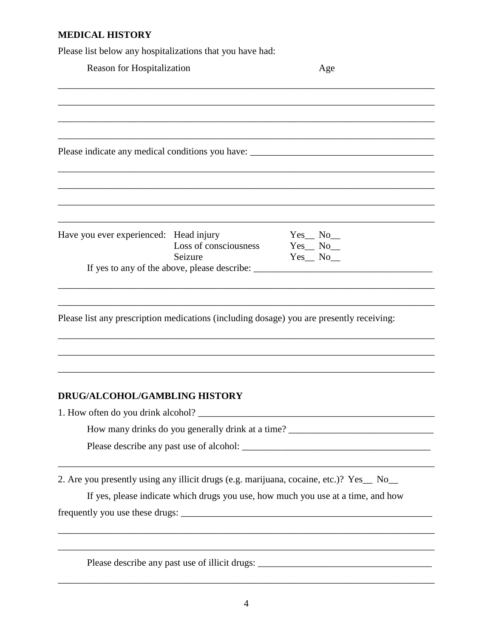# MEDICAL HISTORY

Please list below any hospitalizations that you have had:

| Reason for Hospitalization             |                                  | Age                                                                                                                                                                        |  |
|----------------------------------------|----------------------------------|----------------------------------------------------------------------------------------------------------------------------------------------------------------------------|--|
|                                        |                                  |                                                                                                                                                                            |  |
|                                        |                                  |                                                                                                                                                                            |  |
|                                        |                                  |                                                                                                                                                                            |  |
| Have you ever experienced: Head injury | Loss of consciousness<br>Seizure | $Yes_$ No $_$<br>$Yes$ <sub><math>No</math></sub> $No$ <sub><math>n</math></sub><br>$Yes_$ No $_$                                                                          |  |
|                                        |                                  |                                                                                                                                                                            |  |
|                                        |                                  | Please list any prescription medications (including dosage) you are presently receiving:                                                                                   |  |
| DRUG/ALCOHOL/GAMBLING HISTORY          |                                  |                                                                                                                                                                            |  |
| 1. How often do you drink alcohol?     |                                  | How many drinks do you generally drink at a time?                                                                                                                          |  |
|                                        |                                  |                                                                                                                                                                            |  |
|                                        |                                  | 2. Are you presently using any illicit drugs (e.g. marijuana, cocaine, etc.)? Yes_ No_<br>If yes, please indicate which drugs you use, how much you use at a time, and how |  |
|                                        |                                  | Please describe any past use of illicit drugs: __________________________________                                                                                          |  |